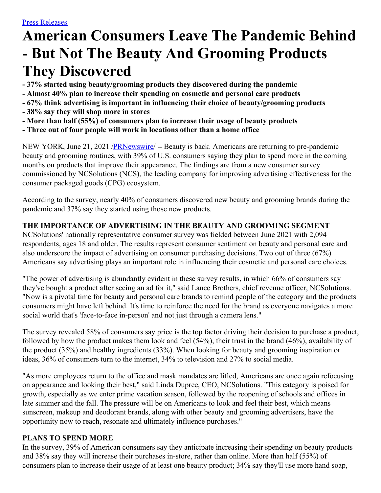# **American Consumers Leave The Pandemic Behind - But Not The Beauty And Grooming Products They Discovered**

- **- 37% started using beauty/grooming products they discovered during the pandemic**
- **- Almost 40% plan to increase their spending on cosmetic and personal care products**
- **- 67% think advertising is important in influencing their choice of beauty/grooming products**
- **- 38% say they will shop more in stores**
- **- More than half (55%) of consumers plan to increase their usage of beauty products**
- **- Three out of four people will work in locations other than a home office**

NEW YORK, June 21, 2021 /**PRNewswire/** -- Beauty is back. Americans are returning to pre-pandemic beauty and grooming routines, with 39% of U.S. consumers saying they plan to spend more in the coming months on products that improve their appearance. The findings are from a new consumer survey commissioned by NCSolutions (NCS), the leading company for improving advertising effectiveness for the consumer packaged goods (CPG) ecosystem.

According to the survey, nearly 40% of consumers discovered new beauty and grooming brands during the pandemic and 37% say they started using those new products.

# **THE IMPORTANCE OF ADVERTISING IN THE BEAUTY AND GROOMING SEGMENT**

NCSolutions' nationally representative consumer survey was fielded between June 2021 with 2,094 respondents, ages 18 and older. The results represent consumer sentiment on beauty and personal care and also underscore the impact of advertising on consumer purchasing decisions. Two out of three (67%) Americans say advertising plays an important role in influencing their cosmetic and personal care choices.

"The power of advertising is abundantly evident in these survey results, in which 66% of consumers say they've bought a product after seeing an ad for it," said Lance Brothers, chief revenue officer, NCSolutions. "Now is a pivotal time for beauty and personal care brands to remind people of the category and the products consumers might have left behind. It's time to reinforce the need for the brand as everyone navigates a more social world that's 'face-to-face in-person' and not just through a camera lens."

The survey revealed 58% of consumers say price is the top factor driving their decision to purchase a product, followed by how the product makes them look and feel (54%), their trust in the brand (46%), availability of the product (35%) and healthy ingredients (33%). When looking for beauty and grooming inspiration or ideas, 36% of consumers turn to the internet, 34% to television and 27% to social media.

"As more employees return to the office and mask mandates are lifted, Americans are once again refocusing on appearance and looking their best," said Linda Dupree, CEO, NCSolutions. "This category is poised for growth, especially as we enter prime vacation season, followed by the reopening of schools and offices in late summer and the fall. The pressure will be on Americans to look and feel their best, which means sunscreen, makeup and deodorant brands, along with other beauty and grooming advertisers, have the opportunity now to reach, resonate and ultimately influence purchases."

# **PLANS TO SPEND MORE**

In the survey, 39% of American consumers say they anticipate increasing their spending on beauty products and 38% say they will increase their purchases in-store, rather than online. More than half (55%) of consumers plan to increase their usage of at least one beauty product; 34% say they'll use more hand soap,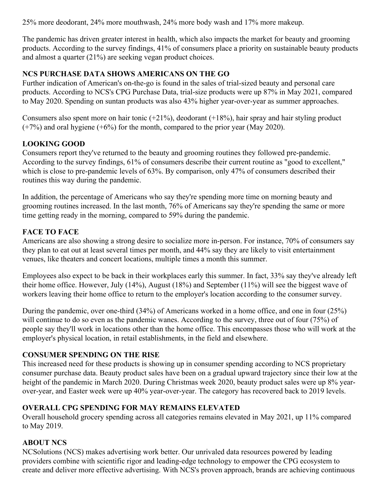25% more deodorant, 24% more mouthwash, 24% more body wash and 17% more makeup.

The pandemic has driven greater interest in health, which also impacts the market for beauty and grooming products. According to the survey findings, 41% of consumers place a priority on sustainable beauty products and almost a quarter (21%) are seeking vegan product choices.

#### **NCS PURCHASE DATA SHOWS AMERICANS ON THE GO**

Further indication of American's on-the-go is found in the sales of trial-sized beauty and personal care products. According to NCS's CPG Purchase Data, trial-size products were up 87% in May 2021, compared to May 2020. Spending on suntan products was also 43% higher year-over-year as summer approaches.

Consumers also spent more on hair tonic  $(+21\%)$ , deodorant  $(+18\%)$ , hair spray and hair styling product  $(+7%)$  and oral hygiene  $(+6%)$  for the month, compared to the prior year (May 2020).

## **LOOKING GOOD**

Consumers report they've returned to the beauty and grooming routines they followed pre-pandemic. According to the survey findings, 61% of consumers describe their current routine as "good to excellent," which is close to pre-pandemic levels of 63%. By comparison, only 47% of consumers described their routines this way during the pandemic.

In addition, the percentage of Americans who say they're spending more time on morning beauty and grooming routines increased. In the last month, 76% of Americans say they're spending the same or more time getting ready in the morning, compared to 59% during the pandemic.

## **FACE TO FACE**

Americans are also showing a strong desire to socialize more in-person. For instance, 70% of consumers say they plan to eat out at least several times per month, and 44% say they are likely to visit entertainment venues, like theaters and concert locations, multiple times a month this summer.

Employees also expect to be back in their workplaces early this summer. In fact, 33% say they've already left their home office. However, July (14%), August (18%) and September (11%) will see the biggest wave of workers leaving their home office to return to the employer's location according to the consumer survey.

During the pandemic, over one-third (34%) of Americans worked in a home office, and one in four (25%) will continue to do so even as the pandemic wanes. According to the survey, three out of four (75%) of people say they'll work in locations other than the home office. This encompasses those who will work at the employer's physical location, in retail establishments, in the field and elsewhere.

## **CONSUMER SPENDING ON THE RISE**

This increased need for these products is showing up in consumer spending according to NCS proprietary consumer purchase data. Beauty product sales have been on a gradual upward trajectory since their low at the height of the pandemic in March 2020. During Christmas week 2020, beauty product sales were up 8% yearover-year, and Easter week were up 40% year-over-year. The category has recovered back to 2019 levels.

# **OVERALL CPG SPENDING FOR MAY REMAINS ELEVATED**

Overall household grocery spending across all categories remains elevated in May 2021, up 11% compared to May 2019.

## **ABOUT NCS**

NCSolutions (NCS) makes advertising work better. Our unrivaled data resources powered by leading providers combine with scientific rigor and leading-edge technology to empower the CPG ecosystem to create and deliver more effective advertising. With NCS's proven approach, brands are achieving continuous